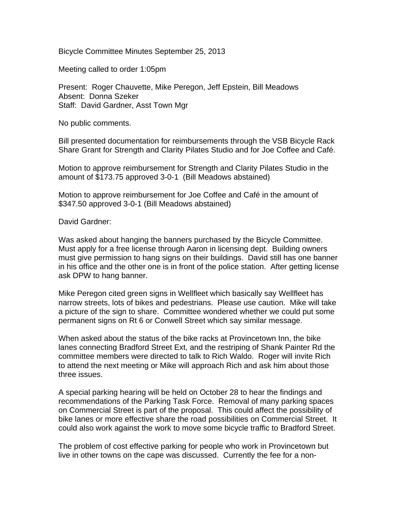Bicycle Committee Minutes September 25, 2013

Meeting called to order 1:05pm

Present: Roger Chauvette, Mike Peregon, Jeff Epstein, Bill Meadows Absent: Donna Szeker Staff: David Gardner, Asst Town Mgr

No public comments.

Bill presented documentation for reimbursements through the VSB Bicycle Rack Share Grant for Strength and Clarity Pilates Studio and for Joe Coffee and Café.

Motion to approve reimbursement for Strength and Clarity Pilates Studio in the amount of \$173.75 approved 3-0-1 (Bill Meadows abstained)

Motion to approve reimbursement for Joe Coffee and Café in the amount of \$347.50 approved 3-0-1 (Bill Meadows abstained)

David Gardner:

Was asked about hanging the banners purchased by the Bicycle Committee. Must apply for a free license through Aaron in licensing dept. Building owners must give permission to hang signs on their buildings. David still has one banner in his office and the other one is in front of the police station. After getting license ask DPW to hang banner.

Mike Peregon cited green signs in Wellfleet which basically say Wellfleet has narrow streets, lots of bikes and pedestrians. Please use caution. Mike will take a picture of the sign to share. Committee wondered whether we could put some permanent signs on Rt 6 or Conwell Street which say similar message.

When asked about the status of the bike racks at Provincetown Inn, the bike lanes connecting Bradford Street Ext, and the restriping of Shank Painter Rd the committee members were directed to talk to Rich Waldo. Roger will invite Rich to attend the next meeting or Mike will approach Rich and ask him about those three issues.

A special parking hearing will be held on October 28 to hear the findings and recommendations of the Parking Task Force. Removal of many parking spaces on Commercial Street is part of the proposal. This could affect the possibility of bike lanes or more effective share the road possibilities on Commercial Street. It could also work against the work to move some bicycle traffic to Bradford Street.

The problem of cost effective parking for people who work in Provincetown but live in other towns on the cape was discussed. Currently the fee for a non